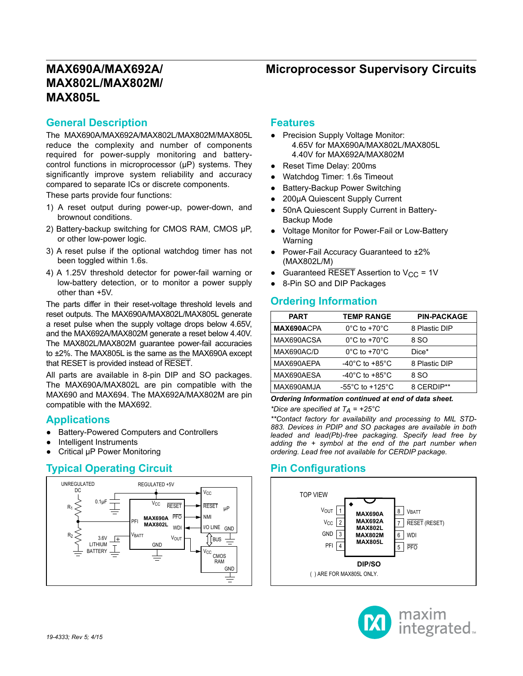# **MAX690A/MAX692A/ MAX802L/MAX802M/ MAX805L**

#### **General Description**

The MAX690A/MAX692A/MAX802L/MAX802M/MAX805L reduce the complexity and number of components required for power-supply monitoring and batterycontrol functions in microprocessor (μP) systems. They significantly improve system reliability and accuracy compared to separate ICs or discrete components.

These parts provide four functions:

- 1) A reset output during power-up, power-down, and brownout conditions.
- 2) Battery-backup switching for CMOS RAM, CMOS μP, or other low-power logic.
- 3) A reset pulse if the optional watchdog timer has not been toggled within 1.6s.
- 4) A 1.25V threshold detector for power-fail warning or low-battery detection, or to monitor a power supply other than +5V.

The parts differ in their reset-voltage threshold levels and reset outputs. The MAX690A/MAX802L/MAX805L generate a reset pulse when the supply voltage drops below 4.65V, and the MAX692A/MAX802M generate a reset below 4.40V. The MAX802L/MAX802M guarantee power-fail accuracies to ±2%. The MAX805L is the same as the MAX690A except that RESET is provided instead of RESET.

All parts are available in 8-pin DIP and SO packages. The MAX690A/MAX802L are pin compatible with the MAX690 and MAX694. The MAX692A/MAX802M are pin compatible with the MAX692.

#### **Applications**

- Battery-Powered Computers and Controllers
- Intelligent Instruments
- Critical μP Power Monitoring

### **Typical Operating Circuit Pin Configurations**



#### **Features**

- Precision Supply Voltage Monitor: 4.65V for MAX690A/MAX802L/MAX805L 4.40V for MAX692A/MAX802M
- Reset Time Delay: 200ms
- Watchdog Timer: 1.6s Timeout
- **Battery-Backup Power Switching**
- 200μA Quiescent Supply Current
- 50nA Quiescent Supply Current in Battery-Backup Mode
- Voltage Monitor for Power-Fail or Low-Battery Warning
- Power-Fail Accuracy Guaranteed to ±2% (MAX802L/M)
- Guaranteed  $\overline{\text{RESET}}$  Assertion to V<sub>CC</sub> = 1V
- 8-Pin SO and DIP Packages

### **Ordering Information**

| <b>PART</b> | <b>TEMP RANGE</b>                     | <b>PIN-PACKAGE</b> |
|-------------|---------------------------------------|--------------------|
| MAX690ACPA  | $0^{\circ}$ C to +70 $^{\circ}$ C     | 8 Plastic DIP      |
| MAX690ACSA  | $0^{\circ}$ C to +70 $^{\circ}$ C     | 8 SO               |
| MAX690AC/D  | $0^{\circ}$ C to +70 $^{\circ}$ C     | Dice*              |
| MAX690AEPA  | $-40^{\circ}$ C to $+85^{\circ}$ C    | 8 Plastic DIP      |
| MAX690AESA  | $-40^{\circ}$ C to $+85^{\circ}$ C    | 8 SO               |
| MAX690AMJA  | -55 $^{\circ}$ C to +125 $^{\circ}$ C | 8 CERDIP**         |
|             |                                       |                    |

*Ordering Information continued at end of data sheet.*

*\*Dice are specified at TA = +25°C*

*\*\*Contact factory for availability and processing to MIL STD-883. Devices in PDIP and SO packages are available in both leaded and lead(Pb)-free packaging. Specify lead free by adding the + symbol at the end of the part number when ordering. Lead free not available for CERDIP package.*



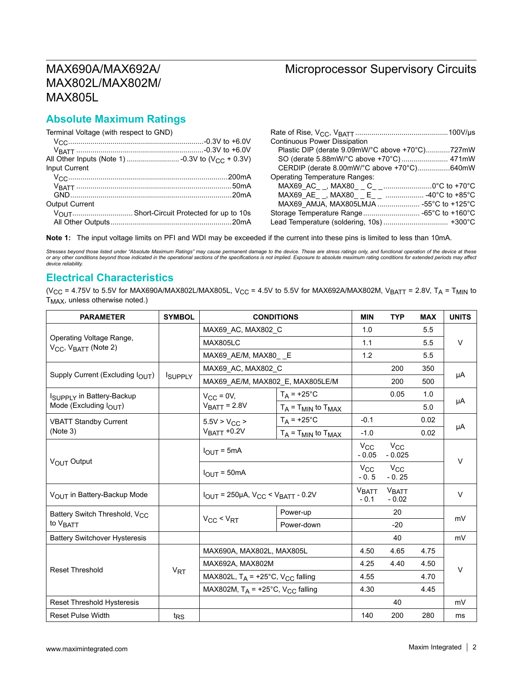#### **Absolute Maximum Ratings**

Terminal Voltage (with respect to GND)

| Terminal Voltage (with respect to GND) |                                                 |
|----------------------------------------|-------------------------------------------------|
|                                        | <b>Continuous Power Dissipation</b>             |
|                                        | Plastic DIP (derate 9.09mW/°C above +70°C)727mW |
|                                        |                                                 |
| Input Current                          | CERDIP (derate 8.00mW/°C above +70°C)640mW      |
|                                        | <b>Operating Temperature Ranges:</b>            |
|                                        | MAX69_AC__, MAX80__C__0°C to +70°C              |
|                                        |                                                 |
| <b>Output Current</b>                  |                                                 |
|                                        |                                                 |
|                                        |                                                 |

**Note 1:** The input voltage limits on PFI and WDI may be exceeded if the current into these pins is limited to less than 10mA.

Stresses beyond those listed under "Absolute Maximum Ratings" may cause permanent damage to the device. These are stress ratings only, and functional operation of the device at these<br>or any other conditions beyond those in *device reliability.*

#### **Electrical Characteristics**

(V<sub>CC</sub> = 4.75V to 5.5V for MAX690A/MAX802L/MAX805L, V<sub>CC</sub> = 4.5V to 5.5V for MAX692A/MAX802M, V<sub>BATT</sub> = 2.8V, T<sub>A</sub> = T<sub>MIN</sub> to T<sub>MAX</sub>, unless otherwise noted.)

| <b>PARAMETER</b>                                                         | <b>SYMBOL</b>   |                                                    | <b>CONDITIONS</b>              | <b>MIN</b>             | <b>TYP</b>               | <b>MAX</b> | <b>UNITS</b> |  |
|--------------------------------------------------------------------------|-----------------|----------------------------------------------------|--------------------------------|------------------------|--------------------------|------------|--------------|--|
|                                                                          |                 | MAX69 AC, MAX802 C                                 |                                | 1.0                    |                          | 5.5        |              |  |
| Operating Voltage Range,<br>$V_{\text{CC}}$ , $V_{\text{BATT}}$ (Note 2) |                 | <b>MAX805LC</b>                                    | 1.1                            |                        | 5.5                      | $\vee$     |              |  |
|                                                                          |                 | MAX69 AE/M, MAX80 E                                |                                | 1.2                    |                          | 5.5        |              |  |
|                                                                          |                 | MAX69_AC, MAX802_C                                 |                                |                        | 200                      | 350        | μA           |  |
| Supply Current (Excluding IOUT)                                          | ISUPPLY         | MAX69_AE/M, MAX802_E, MAX805LE/M                   |                                |                        | 200                      | 500        |              |  |
| I <sub>SUPPLY</sub> in Battery-Backup                                    |                 | $V_{CC}$ = 0V,                                     | $T_A$ = +25°C                  |                        | 0.05                     | 1.0        |              |  |
| Mode (Excluding $I_{\text{OUT}}$ )                                       |                 | $VBATT = 2.8V$                                     | $T_A$ = $T_{MIN}$ to $T_{MAX}$ |                        |                          | 5.0        | μA           |  |
| <b>VBATT Standby Current</b>                                             |                 | $5.5V > V_{CC}$                                    | $T_A = +25$ °C                 | $-0.1$                 |                          | 0.02       |              |  |
| (Note 3)                                                                 |                 | $V_{\text{BAT}}$ +0.2V                             | $T_A$ = $T_{MIN}$ to $T_{MAX}$ | $-1.0$                 |                          | 0.02       | μA           |  |
| V <sub>OUT</sub> Output                                                  |                 | $I_{\text{OUT}} = 5 \text{mA}$<br>$I_{OUT} = 50mA$ |                                | $V_{CC}$<br>$-0.05$    | $V_{\rm CC}$<br>$-0.025$ |            | $\vee$       |  |
|                                                                          |                 |                                                    |                                | $V_{\rm CC}$<br>$-0.5$ | $V_{\rm CC}$<br>$-0.25$  |            |              |  |
| VOUT in Battery-Backup Mode                                              |                 | $IOUT = 250µA, VCC < VBATT - 0.2V$                 |                                | VBATT<br>$-0.1$        | <b>VBATT</b><br>$-0.02$  |            | V            |  |
| Battery Switch Threshold, V <sub>CC</sub>                                |                 | Power-up                                           |                                |                        | 20                       |            | mV           |  |
| to V <sub>BATT</sub>                                                     |                 | $V_{CC}$ < $V_{RT}$                                | Power-down                     |                        | $-20$                    |            |              |  |
| <b>Battery Switchover Hysteresis</b>                                     |                 |                                                    |                                |                        | 40                       |            | mV           |  |
|                                                                          |                 | MAX690A, MAX802L, MAX805L                          |                                | 4.50                   | 4.65                     | 4.75       |              |  |
| <b>Reset Threshold</b>                                                   |                 | MAX692A, MAX802M                                   |                                | 4.25                   | 4.40                     | 4.50       | $\vee$       |  |
|                                                                          | $V_{RT}$        | MAX802L, $T_A$ = +25°C, V <sub>CC</sub> falling    |                                | 4.55                   |                          | 4.70       |              |  |
|                                                                          |                 | MAX802M, $T_A$ = +25°C, V <sub>CC</sub> falling    |                                | 4.30                   |                          | 4.45       |              |  |
| <b>Reset Threshold Hysteresis</b>                                        |                 |                                                    |                                |                        | 40                       |            | mV           |  |
| <b>Reset Pulse Width</b>                                                 | t <sub>RS</sub> |                                                    |                                | 140                    | 200                      | 280        | ms           |  |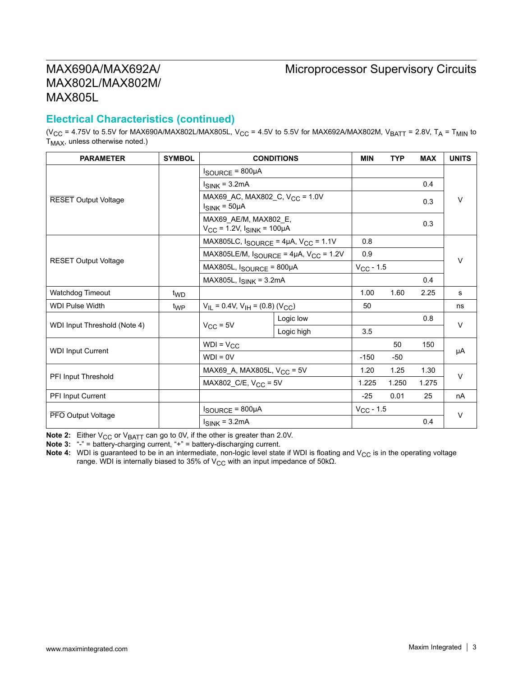# MAX690A/MAX692A/ MAX802L/MAX802M/ MAX805L

#### **Electrical Characteristics (continued)**

(V<sub>CC</sub> = 4.75V to 5.5V for MAX690A/MAX802L/MAX805L, V<sub>CC</sub> = 4.5V to 5.5V for MAX692A/MAX802M, V<sub>BATT</sub> = 2.8V, T<sub>A</sub> = T<sub>MIN</sub> to  $T_{MAX}$ , unless otherwise noted.)

| <b>PARAMETER</b>             | <b>SYMBOL</b>   |                                                                     | <b>CONDITIONS</b>                                          | <b>MIN</b>     | <b>TYP</b> | <b>MAX</b> | <b>UNITS</b> |
|------------------------------|-----------------|---------------------------------------------------------------------|------------------------------------------------------------|----------------|------------|------------|--------------|
|                              |                 | $I_{\text{SOURCE}} = 800 \mu A$                                     |                                                            |                |            |            |              |
|                              |                 | $I_{SINK}$ = 3.2mA                                                  |                                                            |                | 0.4        |            |              |
| <b>RESET Output Voltage</b>  |                 | $I_{SINK} = 50 \mu A$                                               | MAX69_AC, MAX802_C, V <sub>CC</sub> = 1.0V                 |                |            | 0.3        | V            |
|                              |                 | MAX69_AE/M, MAX802_E,<br>$V_{CC}$ = 1.2V, $I_{SINK}$ = 100µA        |                                                            |                |            | 0.3        |              |
|                              |                 | MAX805LC, $I_{\text{SOURCE}}$ = 4µA, $V_{CC}$ = 1.1V                |                                                            | 0.8            |            |            |              |
|                              |                 |                                                                     | MAX805LE/M, $I_{\text{SOURCE}} = 4\mu A$ , $V_{CC} = 1.2V$ | 0.9            |            |            | v            |
| <b>RESET Output Voltage</b>  |                 | $MAX805L$ , $I_{SOURCE} = 800 \mu A$<br>MAX805L, $I_{SINK}$ = 3.2mA |                                                            | $V_{CC}$ - 1.5 |            |            |              |
|                              |                 |                                                                     |                                                            |                |            | 0.4        |              |
| <b>Watchdog Timeout</b>      | t <sub>WD</sub> |                                                                     |                                                            | 1.00           | 1.60       | 2.25       | s            |
| <b>WDI Pulse Width</b>       | t <sub>WP</sub> | $V_{IL}$ = 0.4V, $V_{IH}$ = (0.8) (V <sub>CC</sub> )                |                                                            | 50             |            |            | ns           |
| WDI Input Threshold (Note 4) |                 | $V_{CC}$ = 5V                                                       | Logic low                                                  |                |            | 0.8        | $\vee$       |
|                              |                 |                                                                     | Logic high                                                 | 3.5            |            |            |              |
| <b>WDI Input Current</b>     |                 | $WDI = V_{CC}$                                                      |                                                            |                | 50         | 150        | μA           |
|                              |                 | $WDI = 0V$                                                          | $-150$                                                     | -50            |            |            |              |
|                              |                 | MAX69_A, MAX805L, V <sub>CC</sub> = 5V                              |                                                            | 1.20           | 1.25       | 1.30       | $\vee$       |
| <b>PFI Input Threshold</b>   |                 | MAX802_C/E, $V_{CC}$ = 5V                                           |                                                            | 1.225          | 1.250      | 1.275      |              |
| PFI Input Current            |                 |                                                                     |                                                            | $-25$          | 0.01       | 25         | nA           |
|                              |                 | $I_{\text{SOURCE}} = 800 \mu \text{A}$                              |                                                            | $V_{CC}$ - 1.5 |            |            | $\vee$       |
| PFO Output Voltage           |                 | $I_{SINK} = 3.2mA$                                                  |                                                            |                |            | 0.4        |              |

**Note 2:** Either V<sub>CC</sub> or V<sub>BATT</sub> can go to 0V, if the other is greater than 2.0V.

**Note 3:** "-" = battery-charging current, "+" = battery-discharging current.

Note 4: WDI is guaranteed to be in an intermediate, non-logic level state if WDI is floating and V<sub>CC</sub> is in the operating voltage range. WDI is internally biased to 35% of V<sub>CC</sub> with an input impedance of 50kΩ.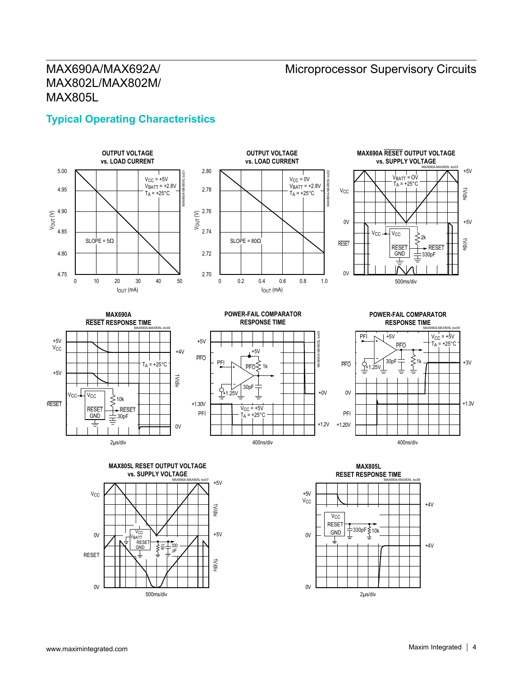# MAX690A/MAX692A/ MAX802L/MAX802M/ MAX805L

### **Typical Operating Characteristics**





**OUTPUT VOLTAGE**









**POWER-FAIL COMPARATOR RESPONSE TIME** MAX690A-MAX805L toc06





**MAX805L RESET RESPONSE TIME** VCC +4V MAX690A-MAX805L toc08

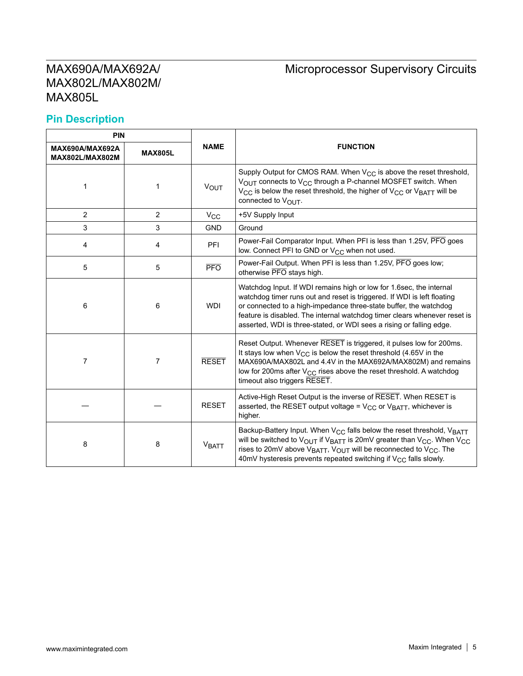# Microprocessor Supervisory Circuits

### **Pin Description**

| <b>PIN</b>                                |                |                  |                                                                                                                                                                                                                                                                                                                                                                                  |  |  |
|-------------------------------------------|----------------|------------------|----------------------------------------------------------------------------------------------------------------------------------------------------------------------------------------------------------------------------------------------------------------------------------------------------------------------------------------------------------------------------------|--|--|
| MAX690A/MAX692A<br><b>MAX802L/MAX802M</b> | <b>MAX805L</b> | <b>NAME</b>      | <b>FUNCTION</b>                                                                                                                                                                                                                                                                                                                                                                  |  |  |
| 1                                         | 1              | <b>VOUT</b>      | Supply Output for CMOS RAM. When $V_{CC}$ is above the reset threshold,<br>V <sub>OUT</sub> connects to V <sub>CC</sub> through a P-channel MOSFET switch. When<br>V <sub>CC</sub> is below the reset threshold, the higher of V <sub>CC</sub> or V <sub>BATT</sub> will be<br>connected to $V_{\text{OUT}}$ .                                                                   |  |  |
| $\overline{2}$                            | $\overline{2}$ | $V_{\rm CC}$     | +5V Supply Input                                                                                                                                                                                                                                                                                                                                                                 |  |  |
| 3                                         | 3              | <b>GND</b>       | Ground                                                                                                                                                                                                                                                                                                                                                                           |  |  |
| 4                                         | 4              | <b>PFI</b>       | Power-Fail Comparator Input. When PFI is less than 1.25V, PFO goes<br>low. Connect PFI to GND or V <sub>CC</sub> when not used.                                                                                                                                                                                                                                                  |  |  |
| 5                                         | 5              | $\overline{PFO}$ | Power-Fail Output. When PFI is less than 1.25V, PFO goes low;<br>otherwise PFO stays high.                                                                                                                                                                                                                                                                                       |  |  |
| 6                                         | 6              | <b>WDI</b>       | Watchdog Input. If WDI remains high or low for 1.6sec, the internal<br>watchdog timer runs out and reset is triggered. If WDI is left floating<br>or connected to a high-impedance three-state buffer, the watchdog<br>feature is disabled. The internal watchdog timer clears whenever reset is<br>asserted, WDI is three-stated, or WDI sees a rising or falling edge.         |  |  |
| 7                                         | 7              | <b>RESET</b>     | Reset Output. Whenever RESET is triggered, it pulses low for 200ms.<br>It stays low when $V_{CC}$ is below the reset threshold (4.65V in the<br>MAX690A/MAX802L and 4.4V in the MAX692A/MAX802M) and remains<br>low for 200ms after V <sub>CC</sub> rises above the reset threshold. A watchdog<br>timeout also triggers RESET.                                                  |  |  |
|                                           |                | <b>RESET</b>     | Active-High Reset Output is the inverse of RESET. When RESET is<br>asserted, the RESET output voltage = $V_{CC}$ or $V_{BATT}$ , whichever is<br>higher.                                                                                                                                                                                                                         |  |  |
| 8                                         | 8              | <b>VBATT</b>     | Backup-Battery Input. When V <sub>CC</sub> falls below the reset threshold, V <sub>BATT</sub><br>will be switched to VOUT if VBATT is 20mV greater than V <sub>CC</sub> . When V <sub>CC</sub><br>rises to 20mV above V <sub>BATT</sub> , V <sub>OUT</sub> will be reconnected to V <sub>CC</sub> . The<br>40mV hysteresis prevents repeated switching if $V_{CC}$ falls slowly. |  |  |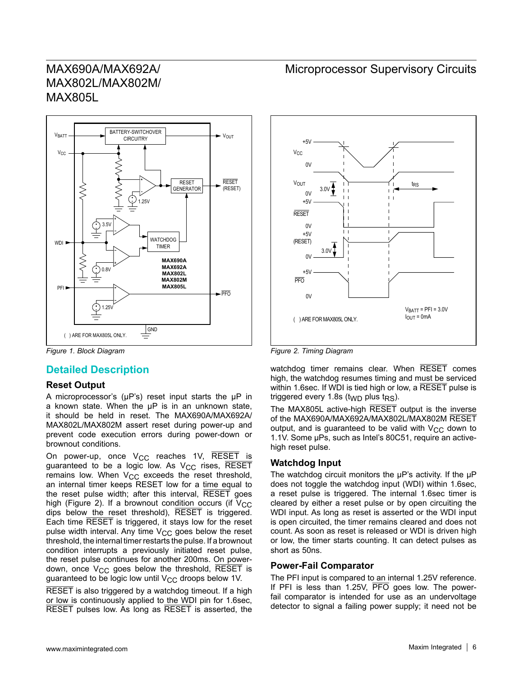

#### **Detailed Description**

#### **Reset Output**

A microprocessor's (μP's) reset input starts the μP in a known state. When the μP is in an unknown state, it should be held in reset. The MAX690A/MAX692A/ MAX802L/MAX802M assert reset during power-up and prevent code execution errors during power-down or brownout conditions.

On power-up, once  $V_{CC}$  reaches 1V, RESET is guaranteed to be a logic low. As  $V_{CC}$  rises, RESET remains low. When  $V_{CC}$  exceeds the reset threshold, an internal timer keeps RESET low for a time equal to the reset pulse width; after this interval, RESET goes high (Figure 2). If a brownout condition occurs (if  $V_{CC}$ dips below the reset threshold), RESET is triggered. Each time RESET is triggered, it stays low for the reset pulse width interval. Any time  $V_{CC}$  goes below the reset threshold, the internal timer restarts the pulse. If a brownout condition interrupts a previously initiated reset pulse, the reset pulse continues for another 200ms. On powerdown, once  $V_{CC}$  goes below the threshold, RESET is guaranteed to be logic low until  $V_{CC}$  droops below 1V.

RESET is also triggered by a watchdog timeout. If a high or low is continuously applied to the WDI pin for 1.6sec, RESET pulses low. As long as RESET is asserted, the

#### Microprocessor Supervisory Circuits



*Figure 1. Block Diagram Figure 2. Timing Diagram*

watchdog timer remains clear. When RESET comes high, the watchdog resumes timing and must be serviced within 1.6sec. If WDI is tied high or low, a RESET pulse is triggered every 1.8s (t<sub>WD</sub> plus t<sub>RS</sub>).

The MAX805L active-high RESET output is the inverse of the MAX690A/MAX692A/MAX802L/MAX802M RESET output, and is guaranteed to be valid with  $V_{CC}$  down to 1.1V. Some μPs, such as Intel's 80C51, require an activehigh reset pulse.

#### **Watchdog Input**

The watchdog circuit monitors the μP's activity. If the μP does not toggle the watchdog input (WDI) within 1.6sec, a reset pulse is triggered. The internal 1.6sec timer is cleared by either a reset pulse or by open circuiting the WDI input. As long as reset is asserted or the WDI input is open circuited, the timer remains cleared and does not count. As soon as reset is released or WDI is driven high or low, the timer starts counting. It can detect pulses as short as 50ns.

#### **Power-Fail Comparator**

The PFI input is compared to an internal 1.25V reference. If PFI is less than 1.25V,  $\overline{PFO}$  goes low. The powerfail comparator is intended for use as an undervoltage detector to signal a failing power supply; it need not be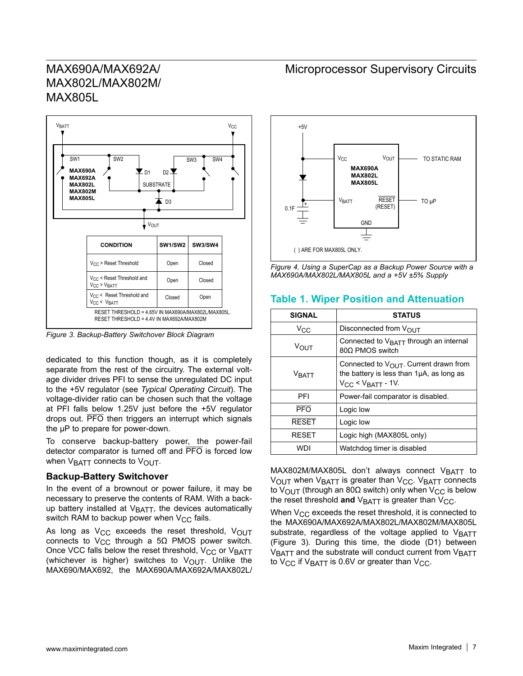

*Figure 3. Backup-Battery Switchover Block Diagram*

dedicated to this function though, as it is completely separate from the rest of the circuitry. The external voltage divider drives PFI to sense the unregulated DC input to the +5V regulator (see *Typical Operating Circuit*). The voltage-divider ratio can be chosen such that the voltage at PFI falls below 1.25V just before the +5V regulator drops out. PFO then triggers an interrupt which signals the μP to prepare for power-down.

To conserve backup-battery power, the power-fail detector comparator is turned off and PFO is forced low when  $V_{\text{BATT}}$  connects to  $V_{\text{OUT}}$ .

#### **Backup-Battery Switchover**

In the event of a brownout or power failure, it may be necessary to preserve the contents of RAM. With a backup battery installed at  $V<sub>BATT</sub>$ , the devices automatically switch RAM to backup power when  $V_{CC}$  fails.

As long as  $V_{CC}$  exceeds the reset threshold,  $V_{OUT}$ connects to V<sub>CC</sub> through a 5Ω PMOS power switch. Once VCC falls below the reset threshold,  $V_{CC}$  or  $V_{BATT}$ (whichever is higher) switches to  $V_{\text{OUT}}$ . Unlike the MAX690/MAX692, the MAX690A/MAX692A/MAX802L/

### Microprocessor Supervisory Circuits



*Figure 4. Using a SuperCap as a Backup Power Source with a MAX690A/MAX802L/MAX805L and a +5V ±5% Supply*

#### **Table 1. Wiper Position and Attenuation**

| <b>SIGNAL</b>    | <b>STATUS</b>                                                                                                    |
|------------------|------------------------------------------------------------------------------------------------------------------|
| $V_{\rm CC}$     | Disconnected from $V_{\Omega I}$ <sub>T</sub>                                                                    |
| V <sub>ΩUT</sub> | Connected to $V_{\text{BATT}}$ through an internal<br>800 PMOS switch                                            |
| VRATT            | Connected to VOUT. Current drawn from<br>the battery is less than 1µA, as long as<br>$V_{CC}$ < $V_{BATT}$ - 1V. |
| PFI              | Power-fail comparator is disabled.                                                                               |
| $\overline{PFO}$ | Logic low                                                                                                        |
| <b>RESET</b>     | Logic low                                                                                                        |
| <b>RESET</b>     | Logic high (MAX805L only)                                                                                        |
| WDI              | Watchdog timer is disabled                                                                                       |

MAX802M/MAX805L don't always connect VBATT to  $V_{\text{OUT}}$  when  $V_{\text{BATT}}$  is greater than  $V_{\text{CC}}$ .  $V_{\text{BATT}}$  connects to V<sub>OUT</sub> (through an 80Ω switch) only when V<sub>CC</sub> is below the reset threshold **and**  $V_{\text{BATT}}$  is greater than  $V_{\text{CC}}$ .

When  $V_{CC}$  exceeds the reset threshold, it is connected to the MAX690A/MAX692A/MAX802L/MAX802M/MAX805L substrate, regardless of the voltage applied to VBATT (Figure 3). During this time, the diode (D1) between V<sub>BATT</sub> and the substrate will conduct current from V<sub>BATT</sub> to  $V_{CC}$  if  $V_{BATT}$  is 0.6V or greater than  $V_{CC}$ .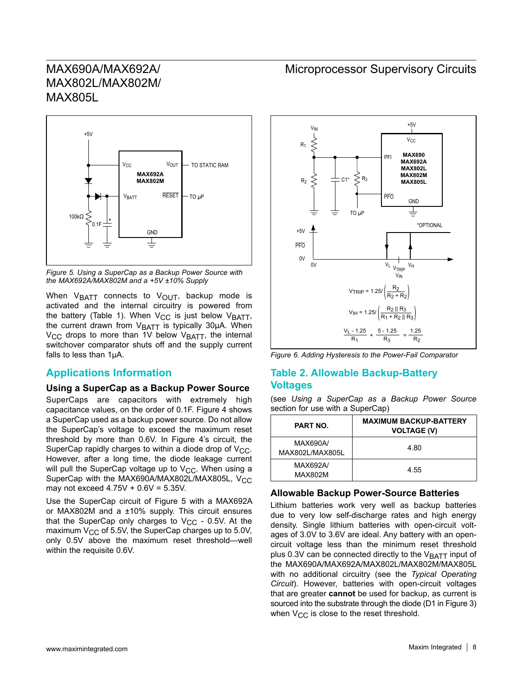

*Figure 5. Using a SuperCap as a Backup Power Source with the MAX692A/MAX802M and a +5V ±10% Supply*

When  $V_{\text{BATT}}$  connects to  $V_{\text{OUT}}$ , backup mode is activated and the internal circuitry is powered from the battery (Table 1). When  $V_{CC}$  is just below  $V_{BATT}$ , the current drawn from  $V_{\text{BATT}}$  is typically 30 $\mu$ A. When  $V_{\text{CC}}$  drops to more than 1V below  $V_{\text{BATT}}$ , the internal switchover comparator shuts off and the supply current falls to less than 1μA.

#### **Applications Information**

#### **Using a SuperCap as a Backup Power Source**

SuperCaps are capacitors with extremely high capacitance values, on the order of 0.1F. Figure 4 shows a SuperCap used as a backup power source. Do not allow the SuperCap's voltage to exceed the maximum reset threshold by more than 0.6V. In Figure 4's circuit, the SuperCap rapidly charges to within a diode drop of  $V_{CC}$ . However, after a long time, the diode leakage current will pull the SuperCap voltage up to  $V_{CC}$ . When using a SuperCap with the MAX690A/MAX802L/MAX805L, V<sub>CC</sub> may not exceed  $4.75V + 0.6V = 5.35V$ .

Use the SuperCap circuit of Figure 5 with a MAX692A or MAX802M and a ±10% supply. This circuit ensures that the SuperCap only charges to  $V_{CC}$  - 0.5V. At the maximum  $V_{CC}$  of 5.5V, the SuperCap charges up to 5.0V, only 0.5V above the maximum reset threshold—well within the requisite 0.6V.

### Microprocessor Supervisory Circuits



*Figure 6. Adding Hysteresis to the Power-Fail Comparator*

#### **Table 2. Allowable Backup-Battery Voltages**

(see *Using a SuperCap as a Backup Power Source* section for use with a SuperCap)

| <b>PART NO.</b>             | <b>MAXIMUM BACKUP-BATTERY</b><br><b>VOLTAGE (V)</b> |
|-----------------------------|-----------------------------------------------------|
| MAX690A/<br>MAX802L/MAX805L | 4.80                                                |
| MAX692A/<br>MAX802M         | 4.55                                                |

#### **Allowable Backup Power-Source Batteries**

Lithium batteries work very well as backup batteries due to very low self-discharge rates and high energy density. Single lithium batteries with open-circuit voltages of 3.0V to 3.6V are ideal. Any battery with an opencircuit voltage less than the minimum reset threshold plus 0.3V can be connected directly to the  $V_{\text{BATT}}$  input of the MAX690A/MAX692A/MAX802L/MAX802M/MAX805L with no additional circuitry (see the *Typical Operating Circuit*). However, batteries with open-circuit voltages that are greater **cannot** be used for backup, as current is sourced into the substrate through the diode (D1 in Figure 3) when  $V_{CC}$  is close to the reset threshold.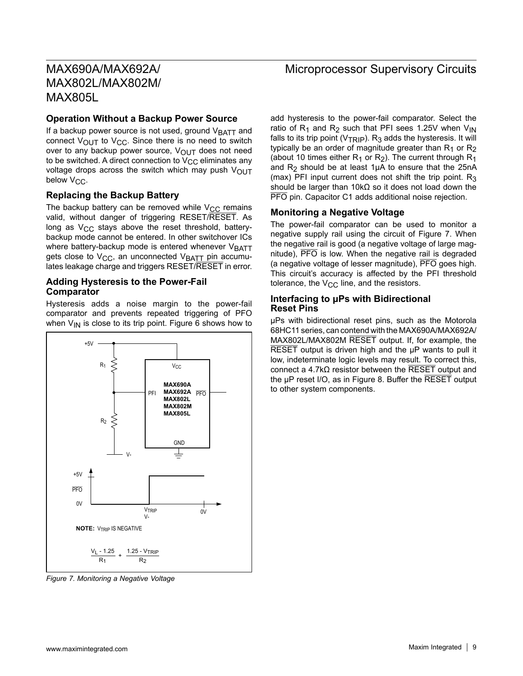#### **Operation Without a Backup Power Source**

If a backup power source is not used, ground VBATT and connect  $V_{\text{OUT}}$  to  $V_{\text{CC}}$ . Since there is no need to switch over to any backup power source,  $V_{\text{OUT}}$  does not need to be switched. A direct connection to  $V_{CC}$  eliminates any voltage drops across the switch which may push  $V_{\text{OUT}}$ below  $V_{CC}$ .

#### **Replacing the Backup Battery**

The backup battery can be removed while  $V_{CC}$  remains valid, without danger of triggering RESET/RESET. As long as  $V_{CC}$  stays above the reset threshold, batterybackup mode cannot be entered. In other switchover ICs where battery-backup mode is entered whenever  $V<sub>BATT</sub>$ gets close to  $V_{CC}$ , an unconnected  $V_{BAT}$  pin accumulates leakage charge and triggers RESET/RESET in error.

#### **Adding Hysteresis to the Power-Fail Comparator**

Hysteresis adds a noise margin to the power-fail comparator and prevents repeated triggering of PFO when  $V_{1N}$  is close to its trip point. Figure 6 shows how to



*Figure 7. Monitoring a Negative Voltage*

### Microprocessor Supervisory Circuits

add hysteresis to the power-fail comparator. Select the ratio of  $R_1$  and  $R_2$  such that PFI sees 1.25V when V<sub>IN</sub> falls to its trip point ( $V_{TRIP}$ ). R<sub>3</sub> adds the hysteresis. It will typically be an order of magnitude greater than  $R_1$  or  $R_2$ (about 10 times either  $R_1$  or  $R_2$ ). The current through  $R_1$ and  $R_2$  should be at least 1µA to ensure that the 25nA (max) PFI input current does not shift the trip point.  $R_3$ should be larger than 10kΩ so it does not load down the PFO pin. Capacitor C1 adds additional noise rejection.

#### **Monitoring a Negative Voltage**

The power-fail comparator can be used to monitor a negative supply rail using the circuit of Figure 7. When the negative rail is good (a negative voltage of large magnitude), PFO is low. When the negative rail is degraded (a negative voltage of lesser magnitude), PFO goes high. This circuit's accuracy is affected by the PFI threshold tolerance, the  $V_{CC}$  line, and the resistors.

#### **Interfacing to μPs with Bidirectional Reset Pins**

μPs with bidirectional reset pins, such as the Motorola 68HC11 series, can contend with the MAX690A/MAX692A/ MAX802L/MAX802M RESET output. If, for example, the RESET output is driven high and the μP wants to pull it low, indeterminate logic levels may result. To correct this, connect a 4.7kΩ resistor between the RESET output and the μP reset I/O, as in Figure 8. Buffer the RESET output to other system components.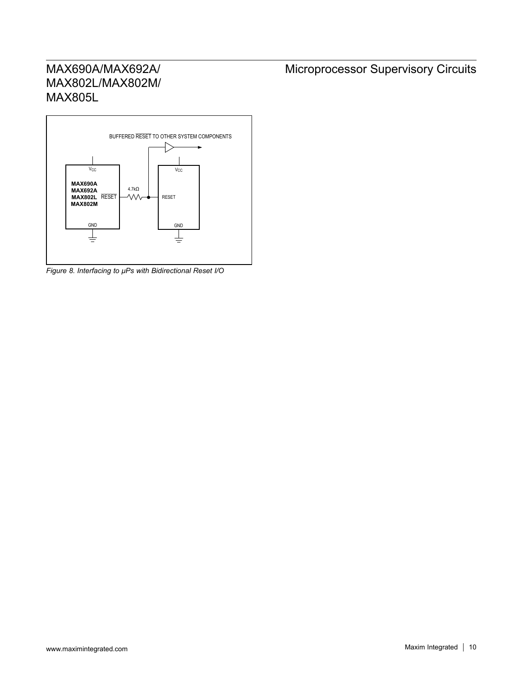

*Figure 8. Interfacing to μPs with Bidirectional Reset I/O*

# Microprocessor Supervisory Circuits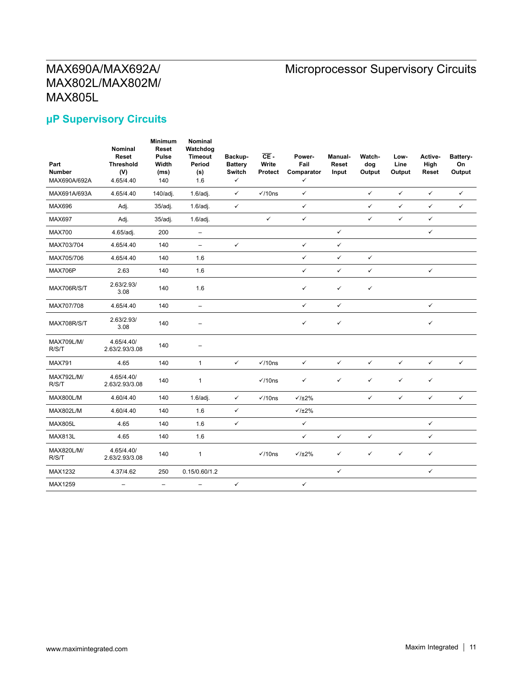# Microprocessor Supervisory Circuits

## **μP Supervisory Circuits**

| Part<br><b>Number</b><br>MAX690A/692A | Nominal<br>Reset<br><b>Threshold</b><br>(V)<br>4.65/4.40 | <b>Minimum</b><br><b>Reset</b><br><b>Pulse</b><br>Width<br>(ms)<br>140 | Nominal<br>Watchdog<br><b>Timeout</b><br>Period<br>(s)<br>1.6 | Backup-<br><b>Battery</b><br><b>Switch</b><br>✓ | $CE -$<br>Write<br><b>Protect</b> | Power-<br>Fail<br>Comparator<br>$\checkmark$ | Manual-<br>Reset<br>Input | Watch-<br>dog<br>Output | Low-<br>Line<br>Output | Active-<br>High<br>Reset | Battery-<br>On<br>Output |
|---------------------------------------|----------------------------------------------------------|------------------------------------------------------------------------|---------------------------------------------------------------|-------------------------------------------------|-----------------------------------|----------------------------------------------|---------------------------|-------------------------|------------------------|--------------------------|--------------------------|
| MAX691A/693A                          | 4.65/4.40                                                | 140/adj.                                                               | 1.6/adi.                                                      | $\checkmark$                                    | $\sqrt{10}$ ns                    | $\checkmark$                                 |                           | $\checkmark$            | $\checkmark$           | $\checkmark$             | $\checkmark$             |
| <b>MAX696</b>                         | Adj.                                                     | $35/a$ dj.                                                             | 1.6/adi.                                                      | $\checkmark$                                    |                                   | $\checkmark$                                 |                           | $\checkmark$            | $\checkmark$           | $\checkmark$             | $\checkmark$             |
| <b>MAX697</b>                         | Adj.                                                     | 35/adj.                                                                | $1.6$ /adj.                                                   |                                                 | $\checkmark$                      | $\checkmark$                                 |                           | $\checkmark$            | $\checkmark$           | $\checkmark$             |                          |
| <b>MAX700</b>                         | 4.65/adj.                                                | 200                                                                    | $\qquad \qquad -$                                             |                                                 |                                   |                                              | $\checkmark$              |                         |                        | $\checkmark$             |                          |
| MAX703/704                            | 4.65/4.40                                                | 140                                                                    | $\overline{\phantom{0}}$                                      | $\checkmark$                                    |                                   | $\checkmark$                                 | $\checkmark$              |                         |                        |                          |                          |
| MAX705/706                            | 4.65/4.40                                                | 140                                                                    | 1.6                                                           |                                                 |                                   | $\checkmark$                                 | $\checkmark$              | $\checkmark$            |                        |                          |                          |
| MAX706P                               | 2.63                                                     | 140                                                                    | 1.6                                                           |                                                 |                                   | $\checkmark$                                 | $\checkmark$              | $\checkmark$            |                        | $\checkmark$             |                          |
| MAX706R/S/T                           | 2.63/2.93/<br>3.08                                       | 140                                                                    | 1.6                                                           |                                                 |                                   | $\checkmark$                                 | ✓                         | $\checkmark$            |                        |                          |                          |
| MAX707/708                            | 4.65/4.40                                                | 140                                                                    | $\qquad \qquad -$                                             |                                                 |                                   | $\checkmark$                                 | $\checkmark$              |                         |                        | $\checkmark$             |                          |
| MAX708R/S/T                           | 2.63/2.93/<br>3.08                                       | 140                                                                    | $\overline{\phantom{m}}$                                      |                                                 |                                   | $\checkmark$                                 | $\checkmark$              |                         |                        | $\checkmark$             |                          |
| <b>MAX709L/M/</b><br>R/S/T            | 4.65/4.40/<br>2.63/2.93/3.08                             | 140                                                                    |                                                               |                                                 |                                   |                                              |                           |                         |                        |                          |                          |
| <b>MAX791</b>                         | 4.65                                                     | 140                                                                    | $\mathbf{1}$                                                  | $\checkmark$                                    | $\checkmark$ /10ns                | $\checkmark$                                 | $\checkmark$              | $\checkmark$            | $\checkmark$           | $\checkmark$             | $\checkmark$             |
| MAX792L/M/<br>R/S/T                   | 4.65/4.40/<br>2.63/2.93/3.08                             | 140                                                                    | $\mathbf{1}$                                                  |                                                 | $\checkmark$ /10ns                | $\checkmark$                                 | $\checkmark$              | $\checkmark$            | $\checkmark$           | $\checkmark$             |                          |
| <b>MAX800L/M</b>                      | 4.60/4.40                                                | 140                                                                    | 1.6/adi.                                                      | $\checkmark$                                    | $\checkmark$ /10ns                | $\sqrt{1\pm2\%}$                             |                           | $\checkmark$            | $\checkmark$           | $\checkmark$             | $\checkmark$             |
| MAX802L/M                             | 4.60/4.40                                                | 140                                                                    | 1.6                                                           | $\checkmark$                                    |                                   | $\sqrt{1\pm2\%}$                             |                           |                         |                        |                          |                          |
| <b>MAX805L</b>                        | 4.65                                                     | 140                                                                    | 1.6                                                           | ✓                                               |                                   | $\checkmark$                                 |                           |                         |                        | $\checkmark$             |                          |
| <b>MAX813L</b>                        | 4.65                                                     | 140                                                                    | 1.6                                                           |                                                 |                                   | $\checkmark$                                 | $\checkmark$              | $\checkmark$            |                        | $\checkmark$             |                          |
| MAX820L/M/<br>R/S/T                   | 4.65/4.40/<br>2.63/2.93/3.08                             | 140                                                                    | $\mathbf{1}$                                                  |                                                 | $\checkmark$ /10ns                | $\sqrt{1\pm2\%}$                             | ✓                         | $\checkmark$            | $\checkmark$           | $\checkmark$             |                          |
| MAX1232                               | 4.37/4.62                                                | 250                                                                    | 0.15/0.60/1.2                                                 |                                                 |                                   |                                              | $\checkmark$              |                         |                        | $\checkmark$             |                          |
| MAX1259                               | -                                                        | -                                                                      |                                                               | $\checkmark$                                    |                                   | $\checkmark$                                 |                           |                         |                        |                          |                          |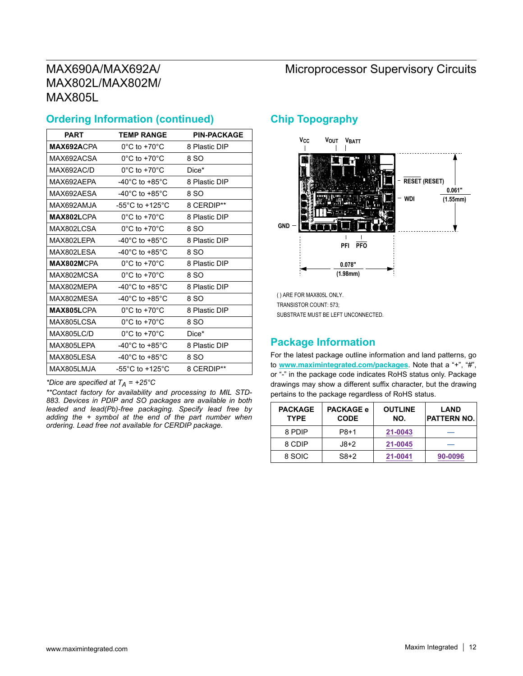# MAX690A/MAX692A/ MAX802L/MAX802M/ MAX805L

### **Ordering Information (continued)**

| <b>PART</b>       | <b>TEMP RANGE</b>                     | <b>PIN-PACKAGE</b> |
|-------------------|---------------------------------------|--------------------|
| MAX692ACPA        | $0^{\circ}$ C to +70 $^{\circ}$ C     | 8 Plastic DIP      |
| MAX692ACSA        | $0^{\circ}$ C to +70 $^{\circ}$ C     | 8 SO               |
| MAX692AC/D        | $0^{\circ}$ C to +70 $^{\circ}$ C     | Dice*              |
| MAX692AEPA        | -40°C to +85°C                        | 8 Plastic DIP      |
| MAX692AFSA        | -40°C to +85°C                        | 8 SO               |
| MAX692AMJA        | -55 $^{\circ}$ C to +125 $^{\circ}$ C | 8 CERDIP**         |
| MAX802LCPA        | $0^{\circ}$ C to +70 $^{\circ}$ C     | 8 Plastic DIP      |
| <b>MAX802LCSA</b> | $0^{\circ}$ C to +70 $^{\circ}$ C     | 8 SO               |
| <b>MAX802LEPA</b> | -40 $^{\circ}$ C to +85 $^{\circ}$ C  | 8 Plastic DIP      |
| MAX802LESA        | -40 $^{\circ}$ C to +85 $^{\circ}$ C  | 8 SO               |
| MAX802MCPA        | $0^{\circ}$ C to +70 $^{\circ}$ C     | 8 Plastic DIP      |
| MAX802MCSA        | $0^{\circ}$ C to +70 $^{\circ}$ C     | 8 SO               |
| MAX802MFPA        | $-40^{\circ}$ C to $+85^{\circ}$ C    | 8 Plastic DIP      |
| MAX802MFSA        | -40 $^{\circ}$ C to +85 $^{\circ}$ C  | 8 SO               |
| MAX805LCPA        | $0^{\circ}$ C to +70 $^{\circ}$ C     | 8 Plastic DIP      |
| MAX805LCSA        | $0^{\circ}$ C to +70 $^{\circ}$ C     | 8 SO               |
| MAX805LC/D        | $0^{\circ}$ C to +70 $^{\circ}$ C     | Dice*              |
| MAX805LEPA        | -40 $^{\circ}$ C to +85 $^{\circ}$ C  | 8 Plastic DIP      |
| MAX805LESA        | -40 $^{\circ}$ C to +85 $^{\circ}$ C  | 8 SO               |
| MAX805LMJA        | -55 $^{\circ}$ C to +125 $^{\circ}$ C | 8 CERDIP**         |

*\*Dice are specified at TA = +25°C*

*\*\*Contact factory for availability and processing to MIL STD-883. Devices in PDIP and SO packages are available in both leaded and lead(Pb)-free packaging. Specify lead free by adding the + symbol at the end of the part number when ordering. Lead free not available for CERDIP package.*

### **Chip Topography**



( ) ARE FOR MAX805L ONLY. TRANSISTOR COUNT: 573; SUBSTRATE MUST BE LEFT UNCONNECTED.

### **Package Information**

For the latest package outline information and land patterns, go to <www.maximintegrated.com/packages>. Note that a "+", "#", or "-" in the package code indicates RoHS status only. Package drawings may show a different suffix character, but the drawing pertains to the package regardless of RoHS status.

| <b>PACKAGE</b><br><b>TYPE</b> | <b>PACKAGE e</b><br><b>CODE</b> | <b>OUTLINE</b><br>NO. | <b>LAND</b><br><b>PATTERN NO.</b> |
|-------------------------------|---------------------------------|-----------------------|-----------------------------------|
| 8 PDIP                        | P8+1                            | 21-0043               |                                   |
| 8 CDIP                        | $J8+2$                          | 21-0045               |                                   |
| 8 SOIC                        | $S8+2$                          | 21-0041               | 90-0096                           |